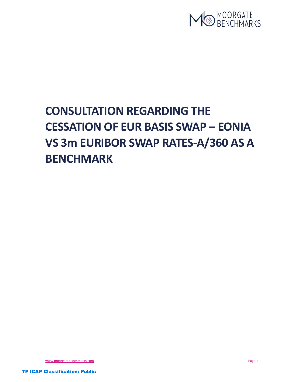

# CONSULTATION REGARDING THE CESSATION OF EUR BASIS SWAP – EONIA VS 3m EURIBOR SWAP RATES-A/360 AS A BENCHMARK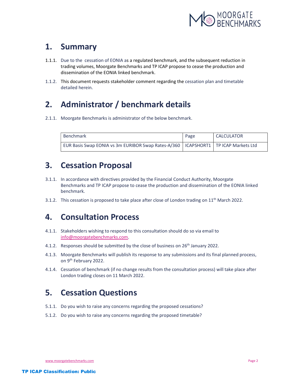

#### 1. Summary

- 1.1.1. Due to the cessation of EONIA as a regulated benchmark, and the subsequent reduction in trading volumes, Moorgate Benchmarks and TP ICAP propose to cease the production and dissemination of the EONIA linked benchmark.
- 1.1.2. This document requests stakeholder comment regarding the cessation plan and timetable detailed herein.

## 2. Administrator / benchmark details

2.1.1. Moorgate Benchmarks is administrator of the below benchmark.

| Benchmark                                                                              | Page | CALCULATOR |
|----------------------------------------------------------------------------------------|------|------------|
| EUR Basis Swap EONIA vs 3m EURIBOR Swap Rates-A/360   ICAPSHORT1   TP ICAP Markets Ltd |      |            |

### 3. Cessation Proposal

- 3.1.1. In accordance with directives provided by the Financial Conduct Authority, Moorgate Benchmarks and TP ICAP propose to cease the production and dissemination of the EONIA linked benchmark.
- 3.1.2. This cessation is proposed to take place after close of London trading on  $11<sup>th</sup>$  March 2022.

#### 4. Consultation Process

- 4.1.1. Stakeholders wishing to respond to this consultation should do so via email to info@moorgatebenchmarks.com.
- 4.1.2. Responses should be submitted by the close of business on 26<sup>th</sup> January 2022.
- 4.1.3. Moorgate Benchmarks will publish its response to any submissions and its final planned process, on 9th February 2022.
- 4.1.4. Cessation of benchmark (if no change results from the consultation process) will take place after London trading closes on 11 March 2022.

# 5. Cessation Questions

- 5.1.1. Do you wish to raise any concerns regarding the proposed cessations?
- 5.1.2. Do you wish to raise any concerns regarding the proposed timetable?